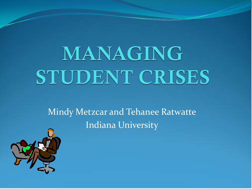# MANAGING STUDENT CRISES

Mindy Metzcar and Tehanee Ratwatte Indiana University

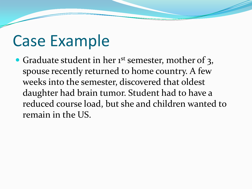### Case Example

Graduate student in her 1<sup>st</sup> semester, mother of 3, spouse recently returned to home country. A few weeks into the semester, discovered that oldest daughter had brain tumor. Student had to have a reduced course load, but she and children wanted to remain in the US.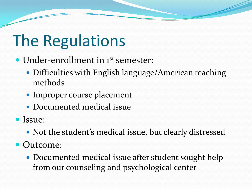# The Regulations

- Under-enrollment in 1<sup>st</sup> semester:
	- Difficulties with English language/American teaching methods
	- Improper course placement
	- Documented medical issue
- Issue:
	- Not the student's medical issue, but clearly distressed
- Outcome:
	- Documented medical issue after student sought help from our counseling and psychological center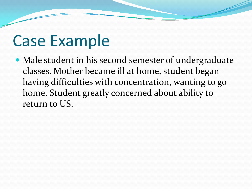### Case Example

 Male student in his second semester of undergraduate classes. Mother became ill at home, student began having difficulties with concentration, wanting to go home. Student greatly concerned about ability to return to US.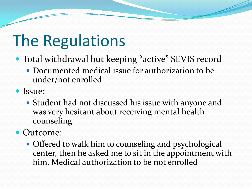# The Regulations

- Total withdrawal but keeping "active" SEVIS record
	- Documented medical issue for authorization to be under/not enrolled
- Issue:
	- Student had not discussed his issue with anyone and was very hesitant about receiving mental health counseling

#### • Outcome:

• Offered to walk him to counseling and psychological center, then he asked me to sit in the appointment with him. Medical authorization to be not enrolled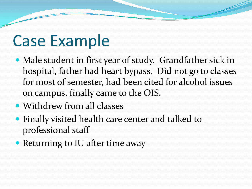### Case Example

- Male student in first year of study. Grandfather sick in hospital, father had heart bypass. Did not go to classes for most of semester, had been cited for alcohol issues on campus, finally came to the OIS.
- Withdrew from all classes
- Finally visited health care center and talked to professional staff
- Returning to IU after time away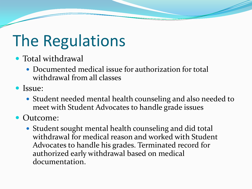# The Regulations

- Total withdrawal
	- Documented medical issue for authorization for total withdrawal from all classes
- Issue:
	- Student needed mental health counseling and also needed to meet with Student Advocates to handle grade issues
- Outcome:
	- Student sought mental health counseling and did total withdrawal for medical reason and worked with Student Advocates to handle his grades. Terminated record for authorized early withdrawal based on medical documentation.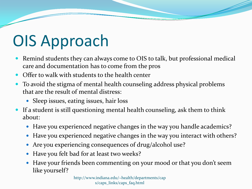# OIS Approach

- Remind students they can always come to OIS to talk, but professional medical care and documentation has to come from the pros
- Offer to walk with students to the health center
- To avoid the stigma of mental health counseling address physical problems that are the result of mental distress:
	- Sleep issues, eating issues, hair loss
- If a student is still questioning mental health counseling, ask them to think about:
	- Have you experienced negative changes in the way you handle academics?
	- Have you experienced negative changes in the way you interact with others?
	- Are you experiencing consequences of drug/alcohol use?
	- Have you felt bad for at least two weeks?
	- Have your friends been commenting on your mood or that you don't seem like yourself?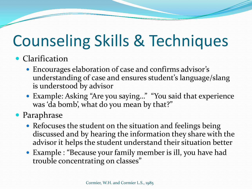# Counseling Skills & Techniques

#### • Clarification

- Encourages elaboration of case and confirms advisor's understanding of case and ensures student's language/slang is understood by advisor
- Example: Asking "Are you saying…" "You said that experience was 'da bomb', what do you mean by that?"

Paraphrase

- Refocuses the student on the situation and feelings being discussed and by hearing the information they share with the advisor it helps the student understand their situation better
- Example : "Because your family member is ill, you have had trouble concentrating on classes"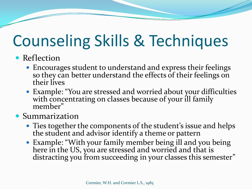# Counseling Skills & Techniques

#### • Reflection

- Encourages student to understand and express their feelings so they can better understand the effects of their feelings on their lives
- Example: "You are stressed and worried about your difficulties with concentrating on classes because of your ill family member"

#### **• Summarization**

- Ties together the components of the student's issue and helps the student and advisor identify a theme or pattern
- Example: "With your family member being ill and you being here in the US, you are stressed and worried and that is distracting you from succeeding in your classes this semester"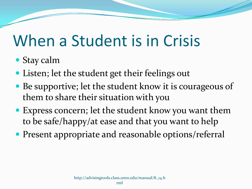### When a Student is in Crisis

- Stay calm
- Listen; let the student get their feelings out
- Be supportive; let the student know it is courageous of them to share their situation with you
- Express concern; let the student know you want them to be safe/happy/at ease and that you want to help
- Present appropriate and reasonable options/referral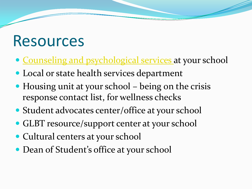### Resources

- [Counseling and psychological services](http://www.indiana.edu/~health/departments/caps/caps_links/caps_yourself.html) at your school
- Local or state health services department
- Housing unit at your school being on the crisis response contact list, for wellness checks
- Student advocates center/office at your school
- GLBT resource/support center at your school
- Cultural centers at your school
- Dean of Student's office at your school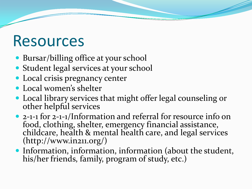### Resources

- Bursar/billing office at your school
- Student legal services at your school
- Local crisis pregnancy center
- Local women's shelter
- Local library services that might offer legal counseling or other helpful services
- 2-1-1 for 2-1-1/Information and referral for resource info on food, clothing, shelter, emergency financial assistance, childcare, health & mental health care, and legal services (http://www.in211.org/)
- Information, information, information (about the student, his/her friends, family, program of study, etc.)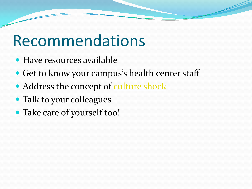### Recommendations

- Have resources available
- Get to know your campus's health center staff
- Address the concept of [culture shock](http://www.indiana.edu/~intlserv/core/misc/culture_shock.php)
- Talk to your colleagues
- Take care of yourself too!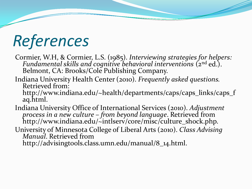# *References*

- Cormier, W.H, & Cormier, L.S. (1985). *Interviewing strategies for helpers:* Fundamental skills and cognitive behavioral interventions (2<sup>nd</sup> ed.).<br>Belmont, CA: Brooks/Cole Publishing Company.
- Indiana University Health Center (2010). *Frequently asked questions.* Retrieved from: http://www.indiana.edu/~health/departments/caps/caps\_links/caps\_f aq.html.
- Indiana University Office of International Services (2010). *Adjustment process in a new culture – from beyond language*. Retrieved from http://www.indiana.edu/~intlserv/core/misc/culture\_shock.php.
- University of Minnesota College of Liberal Arts (2010). *Class Advising Manual*. Retrieved from http://advisingtools.class.umn.edu/manual/8\_14.html.